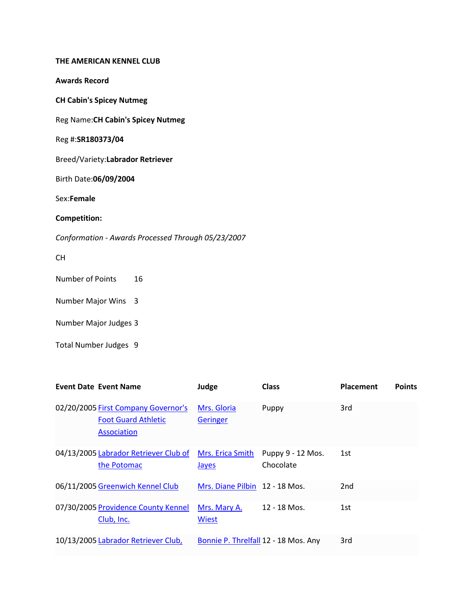## **THE AMERICAN KENNEL CLUB**

**Awards Record**

**CH Cabin's Spicey Nutmeg**

Reg Name:**CH Cabin's Spicey Nutmeg**

Reg #:**SR180373/04**

Breed/Variety:**Labrador Retriever**

Birth Date:**06/09/2004**

Sex:**Female**

**Competition:**

*Conformation - Awards Processed Through 05/23/2007*

CH

Number of Points 16

Number Major Wins 3

Number Major Judges 3

Total Number Judges 9

| <b>Event Date Event Name</b>                                                            | Judge                                | <b>Class</b>                   | <b>Placement</b> | <b>Points</b> |
|-----------------------------------------------------------------------------------------|--------------------------------------|--------------------------------|------------------|---------------|
| 02/20/2005 First Company Governor's<br><b>Foot Guard Athletic</b><br><b>Association</b> | Mrs. Gloria<br>Geringer              | Puppy                          | 3rd              |               |
| 04/13/2005 Labrador Retriever Club of<br>the Potomac                                    | Mrs. Erica Smith<br><b>Jayes</b>     | Puppy 9 - 12 Mos.<br>Chocolate | 1st              |               |
| 06/11/2005 Greenwich Kennel Club                                                        | Mrs. Diane Pilbin 12 - 18 Mos.       |                                | 2nd              |               |
| 07/30/2005 Providence County Kennel<br>Club, Inc.                                       | Mrs. Mary A.<br><b>Wiest</b>         | 12 - 18 Mos.                   | 1st              |               |
| 10/13/2005 Labrador Retriever Club,                                                     | Bonnie P. Threlfall 12 - 18 Mos. Any |                                | 3rd              |               |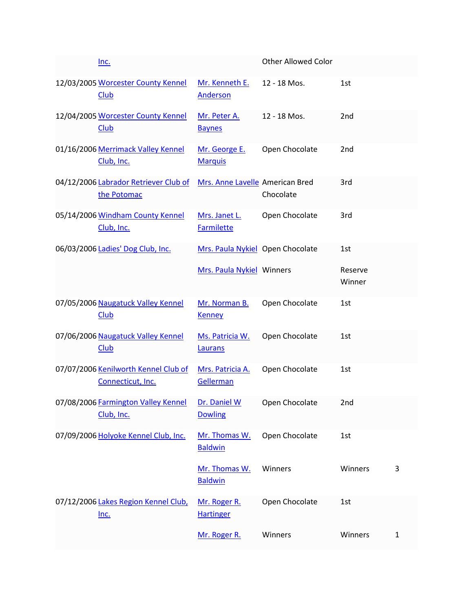| Inc.                                                           |                                    | <b>Other Allowed Color</b> |                   |              |
|----------------------------------------------------------------|------------------------------------|----------------------------|-------------------|--------------|
| 12/03/2005 Worcester County Kennel<br>Club                     | Mr. Kenneth E.<br>Anderson         | 12 - 18 Mos.               | 1st               |              |
| 12/04/2005 Worcester County Kennel<br><b>Club</b>              | Mr. Peter A.<br><b>Baynes</b>      | 12 - 18 Mos.               | 2nd               |              |
| 01/16/2006 Merrimack Valley Kennel<br>Club, Inc.               | Mr. George E.<br><b>Marquis</b>    | Open Chocolate             | 2 <sub>nd</sub>   |              |
| 04/12/2006 Labrador Retriever Club of<br>the Potomac           | Mrs. Anne Lavelle American Bred    | Chocolate                  | 3rd               |              |
| 05/14/2006 Windham County Kennel<br>Club, Inc.                 | Mrs. Janet L.<br><b>Farmilette</b> | Open Chocolate             | 3rd               |              |
| 06/03/2006 Ladies' Dog Club, Inc.                              | Mrs. Paula Nykiel Open Chocolate   |                            | 1st               |              |
|                                                                | Mrs. Paula Nykiel Winners          |                            | Reserve<br>Winner |              |
| 07/05/2006 Naugatuck Valley Kennel<br>Club                     | Mr. Norman B.<br><b>Kenney</b>     | Open Chocolate             | 1st               |              |
| 07/06/2006 Naugatuck Valley Kennel<br><b>Club</b>              | Ms. Patricia W.<br>Laurans         | Open Chocolate             | 1st               |              |
| 07/07/2006 Kenilworth Kennel Club of<br>Connecticut, Inc.      | Mrs. Patricia A.<br>Gellerman      | Open Chocolate             | 1st               |              |
| 07/08/2006 Farmington Valley Kennel Dr. Daniel W<br>Club, Inc. | <b>Dowling</b>                     | Open Chocolate             | 2nd               |              |
| 07/09/2006 Holyoke Kennel Club, Inc.                           | Mr. Thomas W.<br><b>Baldwin</b>    | Open Chocolate             | 1st               |              |
|                                                                | Mr. Thomas W.<br><b>Baldwin</b>    | Winners                    | Winners           | 3            |
| 07/12/2006 Lakes Region Kennel Club,<br><u>Inc.</u>            | Mr. Roger R.<br><b>Hartinger</b>   | Open Chocolate             | 1st               |              |
|                                                                | Mr. Roger R.                       | Winners                    | Winners           | $\mathbf{1}$ |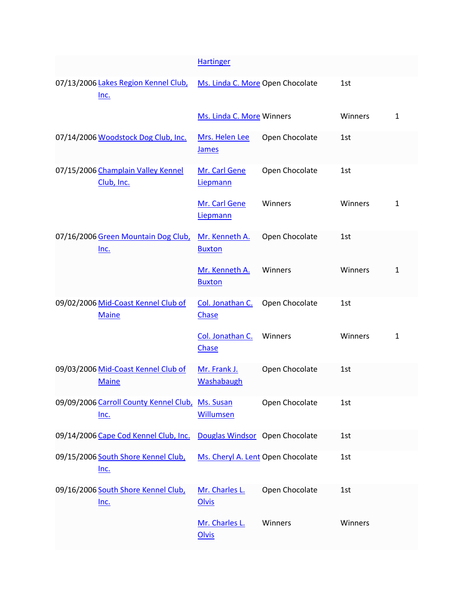|                                                     |                                                                 | <b>Hartinger</b>                        |                |         |              |
|-----------------------------------------------------|-----------------------------------------------------------------|-----------------------------------------|----------------|---------|--------------|
|                                                     |                                                                 |                                         |                |         |              |
| 07/13/2006 Lakes Region Kennel Club,<br><u>Inc.</u> |                                                                 | Ms. Linda C. More Open Chocolate<br>1st |                |         |              |
|                                                     |                                                                 | Ms. Linda C. More Winners               |                | Winners | 1            |
|                                                     | 07/14/2006 Woodstock Dog Club, Inc.                             | Mrs. Helen Lee<br><b>James</b>          | Open Chocolate | 1st     |              |
|                                                     | 07/15/2006 Champlain Valley Kennel<br>Club, Inc.                | Mr. Carl Gene<br>Liepmann               | Open Chocolate | 1st     |              |
|                                                     |                                                                 | Mr. Carl Gene<br>Liepmann               | Winners        | Winners | 1            |
|                                                     | 07/16/2006 Green Mountain Dog Club,<br>$Inc.$                   | Mr. Kenneth A.<br><b>Buxton</b>         | Open Chocolate | 1st     |              |
|                                                     |                                                                 | Mr. Kenneth A.<br><b>Buxton</b>         | Winners        | Winners | $\mathbf{1}$ |
|                                                     | 09/02/2006 Mid-Coast Kennel Club of<br><b>Maine</b>             | Col. Jonathan C.<br>Chase               | Open Chocolate | 1st     |              |
|                                                     |                                                                 | Col. Jonathan C.<br>Chase               | Winners        | Winners | 1            |
|                                                     | 09/03/2006 Mid-Coast Kennel Club of<br><b>Maine</b>             | Mr. Frank J.<br>Washabaugh              | Open Chocolate | 1st     |              |
|                                                     | 09/09/2006 Carroll County Kennel Club, Ms. Susan<br><u>Inc.</u> | <b>Willumsen</b>                        | Open Chocolate | 1st     |              |
|                                                     | 09/14/2006 Cape Cod Kennel Club, Inc.                           | Douglas Windsor Open Chocolate          |                | 1st     |              |
|                                                     | 09/15/2006 South Shore Kennel Club,<br><u>Inc.</u>              | Ms. Cheryl A. Lent Open Chocolate       |                | 1st     |              |
|                                                     | 09/16/2006 South Shore Kennel Club,<br>$Inc.$                   | Mr. Charles L.<br><b>Olvis</b>          | Open Chocolate | 1st     |              |
|                                                     |                                                                 | Mr. Charles L.<br><b>Olvis</b>          | Winners        | Winners |              |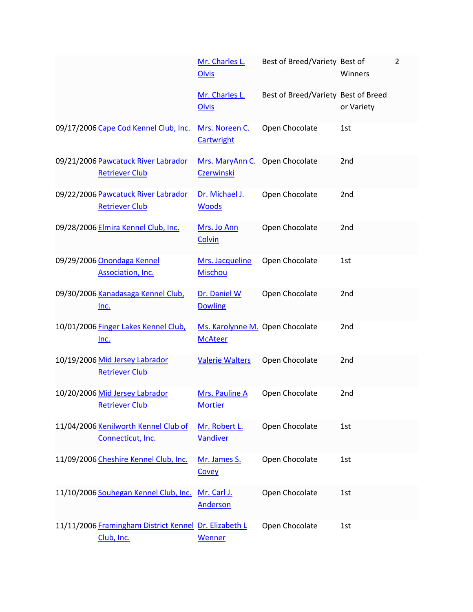|                                                                     | Mr. Charles L.<br><b>Olvis</b>                      | Best of Breed/Variety Best of       | Winners         | $\overline{2}$ |
|---------------------------------------------------------------------|-----------------------------------------------------|-------------------------------------|-----------------|----------------|
|                                                                     | Mr. Charles L.<br><b>Olvis</b>                      | Best of Breed/Variety Best of Breed | or Variety      |                |
| 09/17/2006 Cape Cod Kennel Club, Inc.                               | Mrs. Noreen C.<br>Cartwright                        | Open Chocolate                      | 1st             |                |
| 09/21/2006 Pawcatuck River Labrador<br><b>Retriever Club</b>        | Mrs. MaryAnn C. Open Chocolate<br><b>Czerwinski</b> |                                     | 2 <sub>nd</sub> |                |
| 09/22/2006 Pawcatuck River Labrador<br><b>Retriever Club</b>        | Dr. Michael J.<br><b>Woods</b>                      | Open Chocolate                      | 2nd             |                |
| 09/28/2006 Elmira Kennel Club, Inc.                                 | Mrs. Jo Ann<br>Colvin                               | Open Chocolate                      | 2 <sub>nd</sub> |                |
| 09/29/2006 Onondaga Kennel<br>Association, Inc.                     | Mrs. Jacqueline<br>Mischou                          | Open Chocolate                      | 1st             |                |
| 09/30/2006 Kanadasaga Kennel Club,<br><u>Inc.</u>                   | Dr. Daniel W<br><b>Dowling</b>                      | Open Chocolate                      | 2nd             |                |
| 10/01/2006 Finger Lakes Kennel Club,<br><u>Inc.</u>                 | Ms. Karolynne M. Open Chocolate<br><b>McAteer</b>   |                                     | 2nd             |                |
| 10/19/2006 Mid Jersey Labrador<br><b>Retriever Club</b>             | <b>Valerie Walters</b>                              | Open Chocolate                      | 2nd             |                |
| 10/20/2006 Mid Jersey Labrador<br><b>Retriever Club</b>             | Mrs. Pauline A<br><b>Mortier</b>                    | Open Chocolate                      | 2nd             |                |
| 11/04/2006 Kenilworth Kennel Club of<br>Connecticut, Inc.           | Mr. Robert L.<br><b>Vandiver</b>                    | Open Chocolate                      | 1st             |                |
| 11/09/2006 Cheshire Kennel Club, Inc.                               | Mr. James S.<br>Covey                               | Open Chocolate                      | 1st             |                |
| 11/10/2006 Souhegan Kennel Club, Inc.                               | Mr. Carl J.<br><b>Anderson</b>                      | Open Chocolate                      | 1st             |                |
| 11/11/2006 Framingham District Kennel Dr. Elizabeth L<br>Club, Inc. | Wenner                                              | Open Chocolate                      | 1st             |                |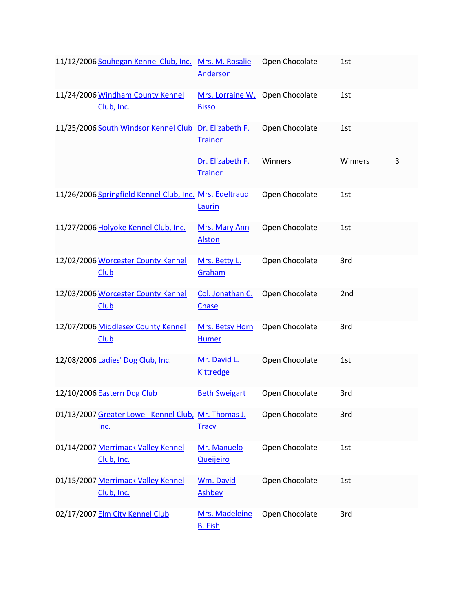| 11/12/2006 Souhegan Kennel Club, Inc.                               | Mrs. M. Rosalie<br>Anderson                     | Open Chocolate | 1st     |   |
|---------------------------------------------------------------------|-------------------------------------------------|----------------|---------|---|
| 11/24/2006 Windham County Kennel<br>Club, Inc.                      | Mrs. Lorraine W. Open Chocolate<br><b>Bisso</b> |                | 1st     |   |
| 11/25/2006 South Windsor Kennel Club Dr. Elizabeth F.               | <b>Trainor</b>                                  | Open Chocolate | 1st     |   |
|                                                                     | Dr. Elizabeth F.<br><b>Trainor</b>              | Winners        | Winners | 3 |
| 11/26/2006 Springfield Kennel Club, Inc. Mrs. Edeltraud             | Laurin                                          | Open Chocolate | 1st     |   |
| 11/27/2006 Holyoke Kennel Club, Inc.                                | Mrs. Mary Ann<br><b>Alston</b>                  | Open Chocolate | 1st     |   |
| 12/02/2006 Worcester County Kennel<br>Club                          | Mrs. Betty L.<br>Graham                         | Open Chocolate | 3rd     |   |
| 12/03/2006 Worcester County Kennel<br>Club                          | Col. Jonathan C.<br>Chase                       | Open Chocolate | 2nd     |   |
| 12/07/2006 Middlesex County Kennel<br><b>Club</b>                   | Mrs. Betsy Horn<br><b>Humer</b>                 | Open Chocolate | 3rd     |   |
| 12/08/2006 Ladies' Dog Club, Inc.                                   | Mr. David L.<br><b>Kittredge</b>                | Open Chocolate | 1st     |   |
| 12/10/2006 Eastern Dog Club                                         | <b>Beth Sweigart</b>                            | Open Chocolate | 3rd     |   |
| 01/13/2007 Greater Lowell Kennel Club, Mr. Thomas J.<br><u>Inc.</u> | <b>Tracy</b>                                    | Open Chocolate | 3rd     |   |
| 01/14/2007 Merrimack Valley Kennel<br>Club, Inc.                    | Mr. Manuelo<br><b>Queijeiro</b>                 | Open Chocolate | 1st     |   |
| 01/15/2007 Merrimack Valley Kennel<br>Club, Inc.                    | Wm. David<br><b>Ashbey</b>                      | Open Chocolate | 1st     |   |
| 02/17/2007 Elm City Kennel Club                                     | Mrs. Madeleine<br><b>B.</b> Fish                | Open Chocolate | 3rd     |   |